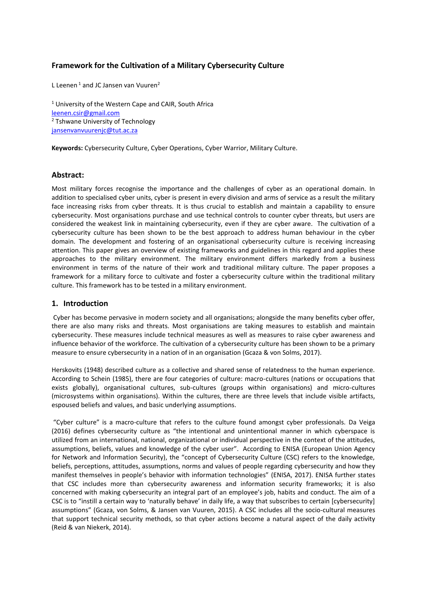## **Framework for the Cultivation of a Military Cybersecurity Culture**

L Leenen<sup>1</sup> and JC Jansen van Vuuren<sup>2</sup>

<sup>1</sup> University of the Western Cape and CAIR, South Africa [leenen.csir@gmail.com](mailto:leenen.csir@gmail.com) <sup>2</sup> Tshwane University of Technology [jansenvanvuurenjc@tut.ac.za](mailto:jansenvanvuurenjc@tut.ac.za)

**Keywords:** Cybersecurity Culture, Cyber Operations, Cyber Warrior, Military Culture.

## **Abstract:**

Most military forces recognise the importance and the challenges of cyber as an operational domain. In addition to specialised cyber units, cyber is present in every division and arms of service as a result the military face increasing risks from cyber threats. It is thus crucial to establish and maintain a capability to ensure cybersecurity. Most organisations purchase and use technical controls to counter cyber threats, but users are considered the weakest link in maintaining cybersecurity, even if they are cyber aware. The cultivation of a cybersecurity culture has been shown to be the best approach to address human behaviour in the cyber domain. The development and fostering of an organisational cybersecurity culture is receiving increasing attention. This paper gives an overview of existing frameworks and guidelines in this regard and applies these approaches to the military environment. The military environment differs markedly from a business environment in terms of the nature of their work and traditional military culture. The paper proposes a framework for a military force to cultivate and foster a cybersecurity culture within the traditional military culture. This framework has to be tested in a military environment.

## **1. Introduction**

Cyber has become pervasive in modern society and all organisations; alongside the many benefits cyber offer, there are also many risks and threats. Most organisations are taking measures to establish and maintain cybersecurity. These measures include technical measures as well as measures to raise cyber awareness and influence behavior of the workforce. The cultivation of a cybersecurity culture has been shown to be a primary measure to ensure cybersecurity in a nation of in an organisation (Gcaza & von Solms, 2017).

Herskovits (1948) described culture as a collective and shared sense of relatedness to the human experience. According to Schein (1985), there are four categories of culture: macro-cultures (nations or occupations that exists globally), organisational cultures, sub-cultures (groups within organisations) and micro-cultures (microsystems within organisations). Within the cultures, there are three levels that include visible artifacts, espoused beliefs and values, and basic underlying assumptions.

"Cyber culture" is a macro-culture that refers to the culture found amongst cyber professionals. Da Veiga (2016) defines cybersecurity culture as "the intentional and unintentional manner in which cyberspace is utilized from an international, national, organizational or individual perspective in the context of the attitudes, assumptions, beliefs, values and knowledge of the cyber user". According to ENISA (European Union Agency for Network and Information Security), the "concept of Cybersecurity Culture (CSC) refers to the knowledge, beliefs, perceptions, attitudes, assumptions, norms and values of people regarding cybersecurity and how they manifest themselves in people's behavior with information technologies" (ENISA, 2017). ENISA further states that CSC includes more than cybersecurity awareness and information security frameworks; it is also concerned with making cybersecurity an integral part of an employee's job, habits and conduct. The aim of a CSC is to "instill a certain way to 'naturally behave' in daily life, a way that subscribes to certain [cybersecurity] assumptions" (Gcaza, von Solms, & Jansen van Vuuren, 2015). A CSC includes all the socio-cultural measures that support technical security methods, so that cyber actions become a natural aspect of the daily activity (Reid & van Niekerk, 2014).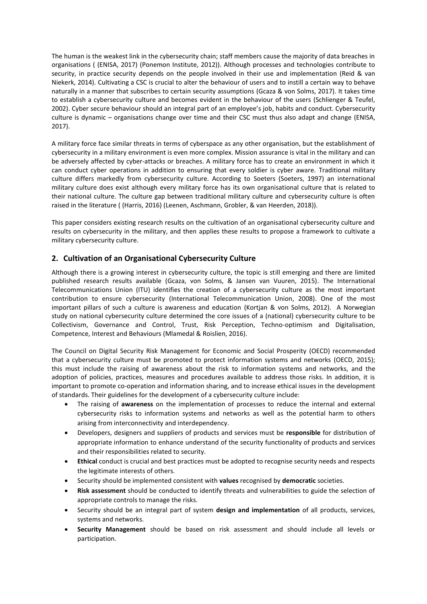The human is the weakest link in the cybersecurity chain; staff members cause the majority of data breaches in organisations ( (ENISA, 2017) (Ponemon Institute, 2012)). Although processes and technologies contribute to security, in practice security depends on the people involved in their use and implementation (Reid & van Niekerk, 2014). Cultivating a CSC is crucial to alter the behaviour of users and to instill a certain way to behave naturally in a manner that subscribes to certain security assumptions (Gcaza & von Solms, 2017). It takes time to establish a cybersecurity culture and becomes evident in the behaviour of the users (Schlienger & Teufel, 2002). Cyber secure behaviour should an integral part of an employee's job, habits and conduct. Cybersecurity culture is dynamic – organisations change over time and their CSC must thus also adapt and change (ENISA, 2017).

A military force face similar threats in terms of cyberspace as any other organisation, but the establishment of cybersecurity in a military environment is even more complex. Mission assurance is vital in the military and can be adversely affected by cyber-attacks or breaches. A military force has to create an environment in which it can conduct cyber operations in addition to ensuring that every soldier is cyber aware. Traditional military culture differs markedly from cybersecurity culture. According to Soeters (Soeters, 1997) an international military culture does exist although every military force has its own organisational culture that is related to their national culture. The culture gap between traditional military culture and cybersecurity culture is often raised in the literature ( (Harris, 2016) (Leenen, Aschmann, Grobler, & van Heerden, 2018)).

This paper considers existing research results on the cultivation of an organisational cybersecurity culture and results on cybersecurity in the military, and then applies these results to propose a framework to cultivate a military cybersecurity culture.

# **2. Cultivation of an Organisational Cybersecurity Culture**

Although there is a growing interest in cybersecurity culture, the topic is still emerging and there are limited published research results available (Gcaza, von Solms, & Jansen van Vuuren, 2015). The International Telecommunications Union (ITU) identifies the creation of a cybersecurity culture as the most important contribution to ensure cybersecurity (International Telecommunication Union, 2008). One of the most important pillars of such a culture is awareness and education (Kortjan & von Solms, 2012). A Norwegian study on national cybersecurity culture determined the core issues of a (national) cybersecurity culture to be Collectivism, Governance and Control, Trust, Risk Perception, Techno-optimism and Digitalisation, Competence, Interest and Behaviours (Mlamedal & Roislien, 2016).

The Council on Digital Security Risk Management for Economic and Social Prosperity (OECD) recommended that a cybersecurity culture must be promoted to protect information systems and networks (OECD, 2015); this must include the raising of awareness about the risk to information systems and networks, and the adoption of policies, practices, measures and procedures available to address those risks. In addition, it is important to promote co-operation and information sharing, and to increase ethical issues in the development of standards. Their guidelines for the development of a cybersecurity culture include:

- The raising of **awareness** on the implementation of processes to reduce the internal and external cybersecurity risks to information systems and networks as well as the potential harm to others arising from interconnectivity and interdependency.
- Developers, designers and suppliers of products and services must be **responsible** for distribution of appropriate information to enhance understand of the security functionality of products and services and their responsibilities related to security.
- **Ethical** conduct is crucial and best practices must be adopted to recognise security needs and respects the legitimate interests of others.
- Security should be implemented consistent with **values** recognised by **democratic** societies.
- **Risk assessment** should be conducted to identify threats and vulnerabilities to guide the selection of appropriate controls to manage the risks.
- Security should be an integral part of system **design and implementation** of all products, services, systems and networks.
- **Security Management** should be based on risk assessment and should include all levels or participation.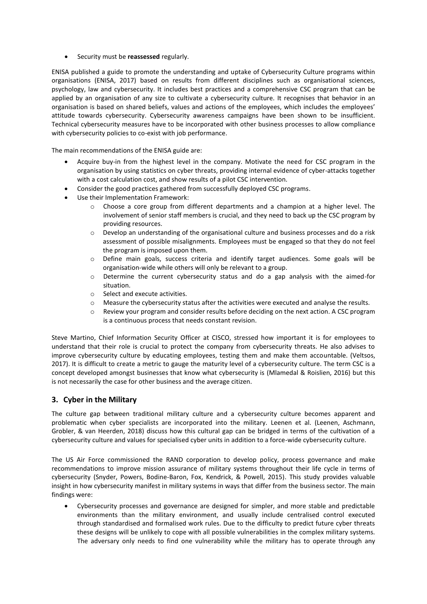• Security must be **reassessed** regularly.

ENISA published a guide to promote the understanding and uptake of Cybersecurity Culture programs within organisations (ENISA, 2017) based on results from different disciplines such as organisational sciences, psychology, law and cybersecurity. It includes best practices and a comprehensive CSC program that can be applied by an organisation of any size to cultivate a cybersecurity culture. It recognises that behavior in an organisation is based on shared beliefs, values and actions of the employees, which includes the employees' attitude towards cybersecurity. Cybersecurity awareness campaigns have been shown to be insufficient. Technical cybersecurity measures have to be incorporated with other business processes to allow compliance with cybersecurity policies to co-exist with job performance.

The main recommendations of the ENISA guide are:

- Acquire buy-in from the highest level in the company. Motivate the need for CSC program in the organisation by using statistics on cyber threats, providing internal evidence of cyber-attacks together with a cost calculation cost, and show results of a pilot CSC intervention.
- Consider the good practices gathered from successfully deployed CSC programs.
- Use their Implementation Framework:
	- o Choose a core group from different departments and a champion at a higher level. The involvement of senior staff members is crucial, and they need to back up the CSC program by providing resources.
	- $\circ$  Develop an understanding of the organisational culture and business processes and do a risk assessment of possible misalignments. Employees must be engaged so that they do not feel the program is imposed upon them.
	- o Define main goals, success criteria and identify target audiences. Some goals will be organisation-wide while others will only be relevant to a group.
	- $\circ$  Determine the current cybersecurity status and do a gap analysis with the aimed-for situation.
	- o Select and execute activities.
	- $\circ$  Measure the cybersecurity status after the activities were executed and analyse the results.
	- o Review your program and consider results before deciding on the next action. A CSC program is a continuous process that needs constant revision.

Steve Martino, Chief Information Security Officer at CISCO, stressed how important it is for employees to understand that their role is crucial to protect the company from cybersecurity threats. He also advises to improve cybersecurity culture by educating employees, testing them and make them accountable. (Veltsos, 2017). It is difficult to create a metric to gauge the maturity level of a cybersecurity culture. The term CSC is a concept developed amongst businesses that know what cybersecurity is (Mlamedal & Roislien, 2016) but this is not necessarily the case for other business and the average citizen.

# **3. Cyber in the Military**

The culture gap between traditional military culture and a cybersecurity culture becomes apparent and problematic when cyber specialists are incorporated into the military. Leenen et al. (Leenen, Aschmann, Grobler, & van Heerden, 2018) discuss how this cultural gap can be bridged in terms of the cultivation of a cybersecurity culture and values for specialised cyber units in addition to a force-wide cybersecurity culture.

The US Air Force commissioned the RAND corporation to develop policy, process governance and make recommendations to improve mission assurance of military systems throughout their life cycle in terms of cybersecurity (Snyder, Powers, Bodine-Baron, Fox, Kendrick, & Powell, 2015). This study provides valuable insight in how cybersecurity manifest in military systems in ways that differ from the business sector. The main findings were:

• Cybersecurity processes and governance are designed for simpler, and more stable and predictable environments than the military environment, and usually include centralised control executed through standardised and formalised work rules. Due to the difficulty to predict future cyber threats these designs will be unlikely to cope with all possible vulnerabilities in the complex military systems. The adversary only needs to find one vulnerability while the military has to operate through any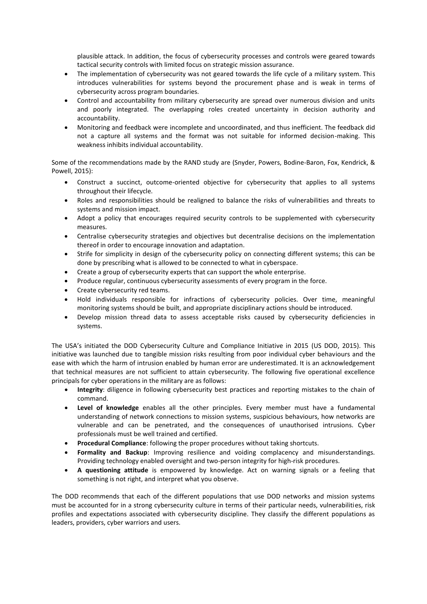plausible attack. In addition, the focus of cybersecurity processes and controls were geared towards tactical security controls with limited focus on strategic mission assurance.

- The implementation of cybersecurity was not geared towards the life cycle of a military system. This introduces vulnerabilities for systems beyond the procurement phase and is weak in terms of cybersecurity across program boundaries.
- Control and accountability from military cybersecurity are spread over numerous division and units and poorly integrated. The overlapping roles created uncertainty in decision authority and accountability.
- Monitoring and feedback were incomplete and uncoordinated, and thus inefficient. The feedback did not a capture all systems and the format was not suitable for informed decision-making. This weakness inhibits individual accountability.

Some of the recommendations made by the RAND study are (Snyder, Powers, Bodine-Baron, Fox, Kendrick, & Powell, 2015):

- Construct a succinct, outcome-oriented objective for cybersecurity that applies to all systems throughout their lifecycle.
- Roles and responsibilities should be realigned to balance the risks of vulnerabilities and threats to systems and mission impact.
- Adopt a policy that encourages required security controls to be supplemented with cybersecurity measures.
- Centralise cybersecurity strategies and objectives but decentralise decisions on the implementation thereof in order to encourage innovation and adaptation.
- Strife for simplicity in design of the cybersecurity policy on connecting different systems; this can be done by prescribing what is allowed to be connected to what in cyberspace.
- Create a group of cybersecurity experts that can support the whole enterprise.
- Produce regular, continuous cybersecurity assessments of every program in the force.
- Create cybersecurity red teams.
- Hold individuals responsible for infractions of cybersecurity policies. Over time, meaningful monitoring systems should be built, and appropriate disciplinary actions should be introduced.
- Develop mission thread data to assess acceptable risks caused by cybersecurity deficiencies in systems.

The USA's initiated the DOD Cybersecurity Culture and Compliance Initiative in 2015 (US DOD, 2015). This initiative was launched due to tangible mission risks resulting from poor individual cyber behaviours and the ease with which the harm of intrusion enabled by human error are underestimated. It is an acknowledgement that technical measures are not sufficient to attain cybersecurity. The following five operational excellence principals for cyber operations in the military are as follows:

- **Integrity**: diligence in following cybersecurity best practices and reporting mistakes to the chain of command.
- **Level of knowledge** enables all the other principles. Every member must have a fundamental understanding of network connections to mission systems, suspicious behaviours, how networks are vulnerable and can be penetrated, and the consequences of unauthorised intrusions. Cyber professionals must be well trained and certified.
- **Procedural Compliance**: following the proper procedures without taking shortcuts.
- **Formality and Backup**: Improving resilience and voiding complacency and misunderstandings. Providing technology enabled oversight and two-person integrity for high-risk procedures.
- **A questioning attitude** is empowered by knowledge. Act on warning signals or a feeling that something is not right, and interpret what you observe.

The DOD recommends that each of the different populations that use DOD networks and mission systems must be accounted for in a strong cybersecurity culture in terms of their particular needs, vulnerabilities, risk profiles and expectations associated with cybersecurity discipline. They classify the different populations as leaders, providers, cyber warriors and users.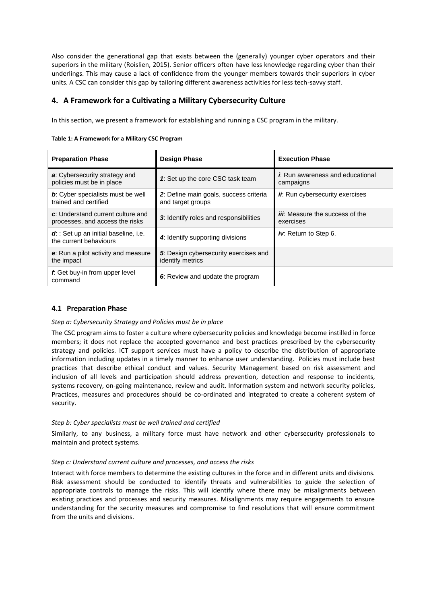Also consider the generational gap that exists between the (generally) younger cyber operators and their superiors in the military (Roislien, 2015). Senior officers often have less knowledge regarding cyber than their underlings. This may cause a lack of confidence from the younger members towards their superiors in cyber units. A CSC can consider this gap by tailoring different awareness activities for less tech-savvy staff.

## **4. A Framework for a Cultivating a Military Cybersecurity Culture**

In this section, we present a framework for establishing and running a CSC program in the military.

| <b>Preparation Phase</b>                                             | <b>Design Phase</b>                                         | <b>Execution Phase</b>                                |
|----------------------------------------------------------------------|-------------------------------------------------------------|-------------------------------------------------------|
| a: Cybersecurity strategy and<br>policies must be in place           | 1: Set up the core CSC task team                            | <i>i</i> . Run awareness and educational<br>campaigns |
| <b>b</b> : Cyber specialists must be well<br>trained and certified   | 2: Define main goals, success criteria<br>and target groups | <i>ii</i> : Run cybersecurity exercises               |
| c: Understand current culture and<br>processes, and access the risks | 3: Identify roles and responsibilities                      | <i>iii</i> : Measure the success of the<br>exercises  |
| $d$ : Set up an initial baseline, i.e.<br>the current behaviours     | 4: Identify supporting divisions                            | iv. Return to Step 6.                                 |
| e: Run a pilot activity and measure<br>the impact                    | 5: Design cybersecurity exercises and<br>identify metrics   |                                                       |
| f. Get buy-in from upper level<br>command                            | 6: Review and update the program                            |                                                       |

## **4.1 Preparation Phase**

## *Step a: Cybersecurity Strategy and Policies must be in place*

The CSC program aims to foster a culture where cybersecurity policies and knowledge become instilled in force members; it does not replace the accepted governance and best practices prescribed by the cybersecurity strategy and policies. ICT support services must have a policy to describe the distribution of appropriate information including updates in a timely manner to enhance user understanding. Policies must include best practices that describe ethical conduct and values. Security Management based on risk assessment and inclusion of all levels and participation should address prevention, detection and response to incidents, systems recovery, on-going maintenance, review and audit. Information system and network security policies, Practices, measures and procedures should be co-ordinated and integrated to create a coherent system of security.

## *Step b: Cyber specialists must be well trained and certified*

Similarly, to any business, a military force must have network and other cybersecurity professionals to maintain and protect systems.

## *Step c: Understand current culture and processes, and access the risks*

Interact with force members to determine the existing cultures in the force and in different units and divisions. Risk assessment should be conducted to identify threats and vulnerabilities to guide the selection of appropriate controls to manage the risks. This will identify where there may be misalignments between existing practices and processes and security measures. Misalignments may require engagements to ensure understanding for the security measures and compromise to find resolutions that will ensure commitment from the units and divisions.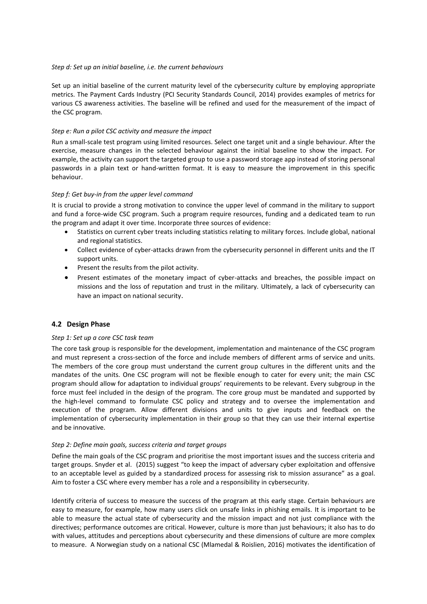### *Step d: Set up an initial baseline, i.e. the current behaviours*

Set up an initial baseline of the current maturity level of the cybersecurity culture by employing appropriate metrics. The Payment Cards Industry (PCI Security Standards Council, 2014) provides examples of metrics for various CS awareness activities. The baseline will be refined and used for the measurement of the impact of the CSC program.

### *Step e: Run a pilot CSC activity and measure the impact*

Run a small-scale test program using limited resources. Select one target unit and a single behaviour. After the exercise, measure changes in the selected behaviour against the initial baseline to show the impact. For example, the activity can support the targeted group to use a password storage app instead of storing personal passwords in a plain text or hand-written format. It is easy to measure the improvement in this specific behaviour.

### *Step f: Get buy-in from the upper level command*

It is crucial to provide a strong motivation to convince the upper level of command in the military to support and fund a force-wide CSC program. Such a program require resources, funding and a dedicated team to run the program and adapt it over time. Incorporate three sources of evidence:

- Statistics on current cyber treats including statistics relating to military forces. Include global, national and regional statistics.
- Collect evidence of cyber-attacks drawn from the cybersecurity personnel in different units and the IT support units.
- Present the results from the pilot activity.
- Present estimates of the monetary impact of cyber-attacks and breaches, the possible impact on missions and the loss of reputation and trust in the military. Ultimately, a lack of cybersecurity can have an impact on national security.

## **4.2 Design Phase**

#### *Step 1: Set up a core CSC task team*

The core task group is responsible for the development, implementation and maintenance of the CSC program and must represent a cross-section of the force and include members of different arms of service and units. The members of the core group must understand the current group cultures in the different units and the mandates of the units. One CSC program will not be flexible enough to cater for every unit; the main CSC program should allow for adaptation to individual groups' requirements to be relevant. Every subgroup in the force must feel included in the design of the program. The core group must be mandated and supported by the high-level command to formulate CSC policy and strategy and to oversee the implementation and execution of the program. Allow different divisions and units to give inputs and feedback on the implementation of cybersecurity implementation in their group so that they can use their internal expertise and be innovative.

#### *Step 2: Define main goals, success criteria and target groups*

Define the main goals of the CSC program and prioritise the most important issues and the success criteria and target groups. Snyder et al. (2015) suggest "to keep the impact of adversary cyber exploitation and offensive to an acceptable level as guided by a standardized process for assessing risk to mission assurance" as a goal. Aim to foster a CSC where every member has a role and a responsibility in cybersecurity.

Identify criteria of success to measure the success of the program at this early stage. Certain behaviours are easy to measure, for example, how many users click on unsafe links in phishing emails. It is important to be able to measure the actual state of cybersecurity and the mission impact and not just compliance with the directives; performance outcomes are critical. However, culture is more than just behaviours; it also has to do with values, attitudes and perceptions about cybersecurity and these dimensions of culture are more complex to measure. A Norwegian study on a national CSC (Mlamedal & Roislien, 2016) motivates the identification of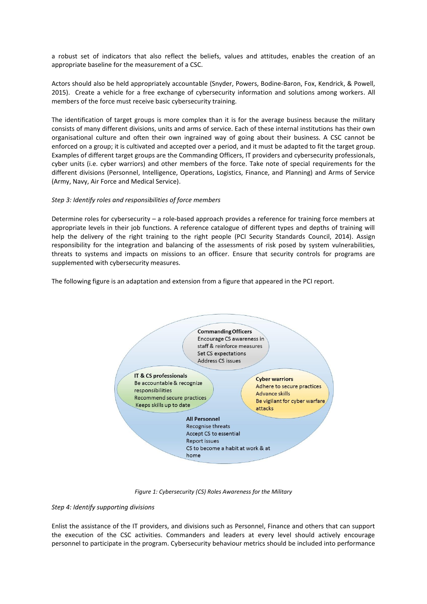a robust set of indicators that also reflect the beliefs, values and attitudes, enables the creation of an appropriate baseline for the measurement of a CSC.

Actors should also be held appropriately accountable (Snyder, Powers, Bodine-Baron, Fox, Kendrick, & Powell, 2015). Create a vehicle for a free exchange of cybersecurity information and solutions among workers. All members of the force must receive basic cybersecurity training.

The identification of target groups is more complex than it is for the average business because the military consists of many different divisions, units and arms of service. Each of these internal institutions has their own organisational culture and often their own ingrained way of going about their business. A CSC cannot be enforced on a group; it is cultivated and accepted over a period, and it must be adapted to fit the target group. Examples of different target groups are the Commanding Officers, IT providers and cybersecurity professionals, cyber units (i.e. cyber warriors) and other members of the force. Take note of special requirements for the different divisions (Personnel, Intelligence, Operations, Logistics, Finance, and Planning) and Arms of Service (Army, Navy, Air Force and Medical Service).

### *Step 3: Identify roles and responsibilities of force members*

Determine roles for cybersecurity – a role-based approach provides a reference for training force members at appropriate levels in their job functions. A reference catalogue of different types and depths of training will help the delivery of the right training to the right people (PCI Security Standards Council, 2014). Assign responsibility for the integration and balancing of the assessments of risk posed by system vulnerabilities, threats to systems and impacts on missions to an officer. Ensure that security controls for programs are supplemented with cybersecurity measures.

The following figure is an adaptation and extension from a figure that appeared in the PCI report.



*Figure 1: Cybersecurity (CS) Roles Awareness for the Military*

#### *Step 4: Identify supporting divisions*

Enlist the assistance of the IT providers, and divisions such as Personnel, Finance and others that can support the execution of the CSC activities. Commanders and leaders at every level should actively encourage personnel to participate in the program. Cybersecurity behaviour metrics should be included into performance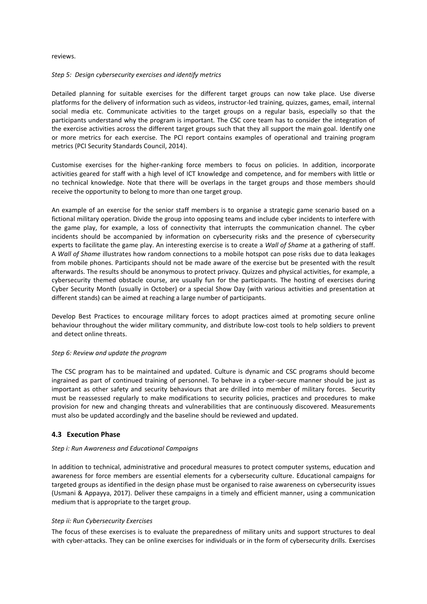#### reviews.

#### *Step 5: Design cybersecurity exercises and identify metrics*

Detailed planning for suitable exercises for the different target groups can now take place. Use diverse platforms for the delivery of information such as videos, instructor-led training, quizzes, games, email, internal social media etc. Communicate activities to the target groups on a regular basis, especially so that the participants understand why the program is important. The CSC core team has to consider the integration of the exercise activities across the different target groups such that they all support the main goal. Identify one or more metrics for each exercise. The PCI report contains examples of operational and training program metrics (PCI Security Standards Council, 2014).

Customise exercises for the higher-ranking force members to focus on policies. In addition, incorporate activities geared for staff with a high level of ICT knowledge and competence, and for members with little or no technical knowledge. Note that there will be overlaps in the target groups and those members should receive the opportunity to belong to more than one target group.

An example of an exercise for the senior staff members is to organise a strategic game scenario based on a fictional military operation. Divide the group into opposing teams and include cyber incidents to interfere with the game play, for example, a loss of connectivity that interrupts the communication channel. The cyber incidents should be accompanied by information on cybersecurity risks and the presence of cybersecurity experts to facilitate the game play. An interesting exercise is to create a *Wall of Shame* at a gathering of staff. A *Wall of Shame* illustrates how random connections to a mobile hotspot can pose risks due to data leakages from mobile phones. Participants should not be made aware of the exercise but be presented with the result afterwards. The results should be anonymous to protect privacy. Quizzes and physical activities, for example, a cybersecurity themed obstacle course, are usually fun for the participants. The hosting of exercises during Cyber Security Month (usually in October) or a special Show Day (with various activities and presentation at different stands) can be aimed at reaching a large number of participants.

Develop Best Practices to encourage military forces to adopt practices aimed at promoting secure online behaviour throughout the wider military community, and distribute low-cost tools to help soldiers to prevent and detect online threats.

#### *Step 6: Review and update the program*

The CSC program has to be maintained and updated. Culture is dynamic and CSC programs should become ingrained as part of continued training of personnel. To behave in a cyber-secure manner should be just as important as other safety and security behaviours that are drilled into member of military forces. Security must be reassessed regularly to make modifications to security policies, practices and procedures to make provision for new and changing threats and vulnerabilities that are continuously discovered. Measurements must also be updated accordingly and the baseline should be reviewed and updated.

#### **4.3 Execution Phase**

#### *Step i: Run Awareness and Educational Campaigns*

In addition to technical, administrative and procedural measures to protect computer systems, education and awareness for force members are essential elements for a cybersecurity culture. Educational campaigns for targeted groups as identified in the design phase must be organised to raise awareness on cybersecurity issues (Usmani & Appayya, 2017). Deliver these campaigns in a timely and efficient manner, using a communication medium that is appropriate to the target group.

#### *Step ii: Run Cybersecurity Exercises*

The focus of these exercises is to evaluate the preparedness of military units and support structures to deal with cyber-attacks. They can be online exercises for individuals or in the form of cybersecurity drills. Exercises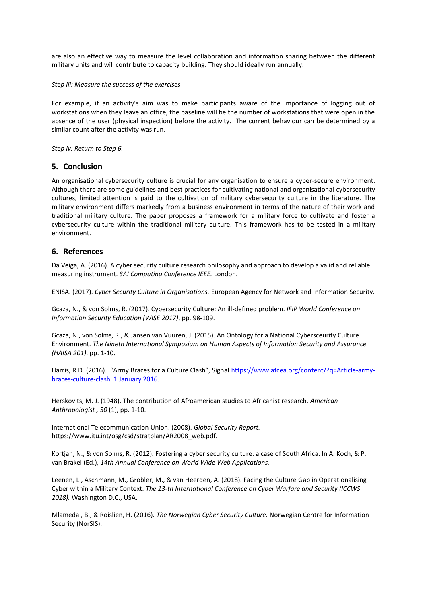are also an effective way to measure the level collaboration and information sharing between the different military units and will contribute to capacity building. They should ideally run annually.

*Step iii: Measure the success of the exercises*

For example, if an activity's aim was to make participants aware of the importance of logging out of workstations when they leave an office, the baseline will be the number of workstations that were open in the absence of the user (physical inspection) before the activity. The current behaviour can be determined by a similar count after the activity was run.

*Step iv: Return to Step 6.*

## **5. Conclusion**

An organisational cybersecurity culture is crucial for any organisation to ensure a cyber-secure environment. Although there are some guidelines and best practices for cultivating national and organisational cybersecurity cultures, limited attention is paid to the cultivation of military cybersecurity culture in the literature. The military environment differs markedly from a business environment in terms of the nature of their work and traditional military culture. The paper proposes a framework for a military force to cultivate and foster a cybersecurity culture within the traditional military culture. This framework has to be tested in a military environment.

## **6. References**

Da Veiga, A. (2016). A cyber security culture research philosophy and approach to develop a valid and reliable measuring instrument. *SAI Computing Conference IEEE.* London.

ENISA. (2017). *Cyber Security Culture in Organisations.* European Agency for Network and Information Security.

Gcaza, N., & von Solms, R. (2017). Cybersecurity Culture: An ill-defined problem. *IFIP World Conference on Information Security Education (WISE 2017)*, pp. 98-109.

Gcaza, N., von Solms, R., & Jansen van Vuuren, J. (2015). An Ontology for a National Cybersceurity Culture Environment. *The Nineth International Symposium on Human Aspects of Information Security and Assurance (HAISA 201)*, pp. 1-10.

Harris, R.D. (2016). "Army Braces for a Culture Clash", Signal [https://www.afcea.org/content/?q=Article-army](https://www.afcea.org/content/?q=Article-army-braces-culture-clash)[braces-culture-clash](https://www.afcea.org/content/?q=Article-army-braces-culture-clash) 1 January 2016.

Herskovits, M. J. (1948). The contribution of Afroamerican studies to Africanist research. *American Anthropologist , 50* (1), pp. 1-10.

International Telecommunication Union. (2008). *Global Security Report.* https://www.itu.int/osg/csd/stratplan/AR2008\_web.pdf.

Kortjan, N., & von Solms, R. (2012). Fostering a cyber security culture: a case of South Africa. In A. Koch, & P. van Brakel (Ed.), *14th Annual Conference on World Wide Web Applications.*

Leenen, L., Aschmann, M., Grobler, M., & van Heerden, A. (2018). Facing the Culture Gap in Operationalising Cyber within a Military Context. *The 13-th International Conference on Cyber Warfare and Security (ICCWS 2018).* Washington D.C., USA.

Mlamedal, B., & Roislien, H. (2016). *The Norwegian Cyber Security Culture.* Norwegian Centre for Information Security (NorSIS).